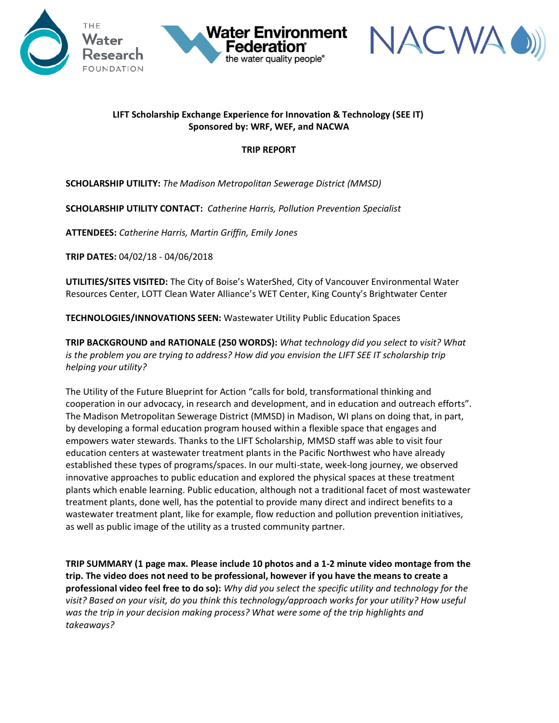





## **LIFT Scholarship Exchange Experience for Innovation & Technology (SEE IT) Sponsored by: WRF, WEF, and NACWA**

## **TRIP REPORT**

**SCHOLARSHIP UTILITY:** *The Madison Metropolitan Sewerage District (MMSD)*

**SCHOLARSHIP UTILITY CONTACT:** *Catherine Harris, Pollution Prevention Specialist*

**ATTENDEES:** *Catherine Harris, Martin Griffin, Emily Jones*

**TRIP DATES:** 04/02/18 - 04/06/2018

**UTILITIES/SITES VISITED:** The City of Boise's WaterShed, City of Vancouver Environmental Water Resources Center, LOTT Clean Water Alliance's WET Center, King County's Brightwater Center

**TECHNOLOGIES/INNOVATIONS SEEN:** Wastewater Utility Public Education Spaces

**TRIP BACKGROUND and RATIONALE (250 WORDS):** *What technology did you select to visit? What is the problem you are trying to address? How did you envision the LIFT SEE IT scholarship trip helping your utility?* 

The Utility of the Future Blueprint for Action "calls for bold, transformational thinking and cooperation in our advocacy, in research and development, and in education and outreach efforts". The Madison Metropolitan Sewerage District (MMSD) in Madison, WI plans on doing that, in part, by developing a formal education program housed within a flexible space that engages and empowers water stewards. Thanks to the LIFT Scholarship, MMSD staff was able to visit four education centers at wastewater treatment plants in the Pacific Northwest who have already established these types of programs/spaces. In our multi-state, week-long journey, we observed innovative approaches to public education and explored the physical spaces at these treatment plants which enable learning. Public education, although not a traditional facet of most wastewater treatment plants, done well, has the potential to provide many direct and indirect benefits to a wastewater treatment plant, like for example, flow reduction and pollution prevention initiatives, as well as public image of the utility as a trusted community partner.

**TRIP SUMMARY (1 page max. Please include 10 photos and a 1-2 minute video montage from the trip. The video does not need to be professional, however if you have the means to create a professional video feel free to do so):** *Why did you select the specific utility and technology for the visit? Based on your visit, do you think this technology/approach works for your utility? How useful was the trip in your decision making process? What were some of the trip highlights and takeaways?*